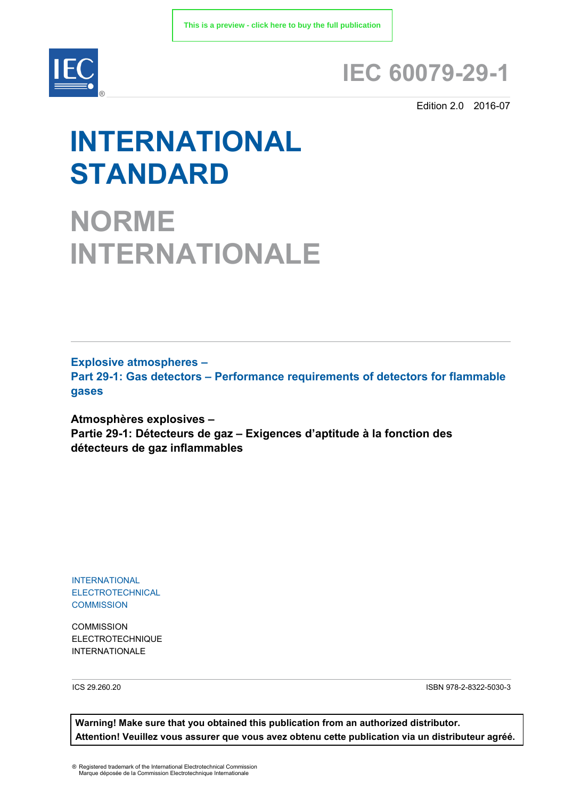

# **IEC 60079-29-1**

Edition 2.0 2016-07

# **INTERNATIONAL STANDARD**

**NORME INTERNATIONALE**

**Explosive atmospheres – Part 29-1: Gas detectors – Performance requirements of detectors for flammable gases**

**Atmosphères explosives – Partie 29-1: Détecteurs de gaz – Exigences d'aptitude à la fonction des détecteurs de gaz inflammables**

INTERNATIONAL **ELECTROTECHNICAL COMMISSION** 

**COMMISSION** ELECTROTECHNIQUE INTERNATIONALE

ICS 29.260.20 ISBN 978-2-8322-5030-3

**Warning! Make sure that you obtained this publication from an authorized distributor. Attention! Veuillez vous assurer que vous avez obtenu cette publication via un distributeur agréé.**

® Registered trademark of the International Electrotechnical Commission Marque déposée de la Commission Electrotechnique Internationale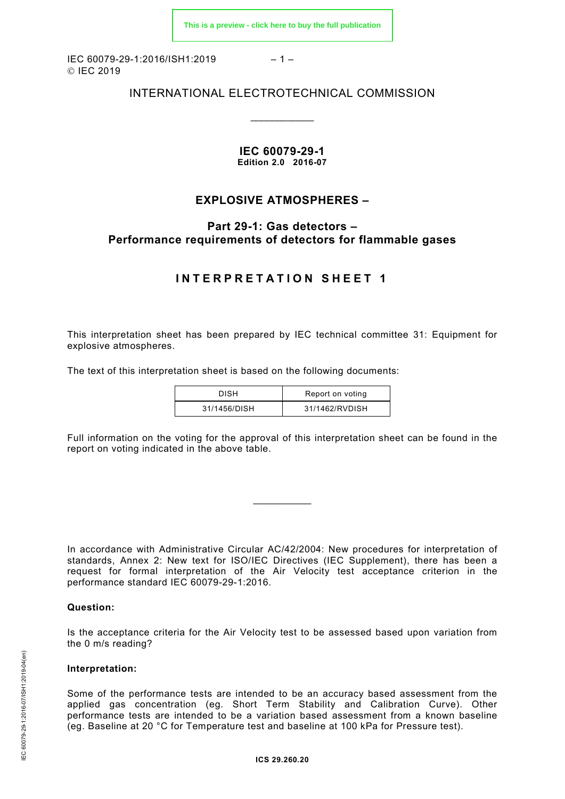IEC 60079-29-1:2016/ISH1:2019  $-1 -$ © IEC 2019

# INTERNATIONAL ELECTROTECHNICAL COMMISSION

\_\_\_\_\_\_\_\_\_\_\_\_

**IEC 60079-29-1 Edition 2.0 2016-07**

# **EXPLOSIVE ATMOSPHERES –**

# **Part 29-1: Gas detectors – Performance requirements of detectors for flammable gases**

# **INTERPRETATION SHEET 1**

This interpretation sheet has been prepared by IEC technical committee 31: Equipment for explosive atmospheres.

The text of this interpretation sheet is based on the following documents:

| <b>DISH</b>  | Report on voting |  |  |
|--------------|------------------|--|--|
| 31/1456/DISH | 31/1462/RVDISH   |  |  |

Full information on the voting for the approval of this interpretation sheet can be found in the report on voting indicated in the above table.

 $\overline{\phantom{a}}$ 

In accordance with Administrative Circular AC/42/2004: New procedures for interpretation of standards, Annex 2: New text for ISO/IEC Directives (IEC Supplement), there has been a request for formal interpretation of the Air Velocity test acceptance criterion in the performance standard IEC 60079-29-1:2016.

#### **Question:**

Is the acceptance criteria for the Air Velocity test to be assessed based upon variation from the 0 m/s reading?

#### **Interpretation:**

Some of the performance tests are intended to be an accuracy based assessment from the applied gas concentration (eg. Short Term Stability and Calibration Curve). Other performance tests are intended to be a variation based assessment from a known baseline (eg. Baseline at 20 °C for Temperature test and baseline at 100 kPa for Pressure test).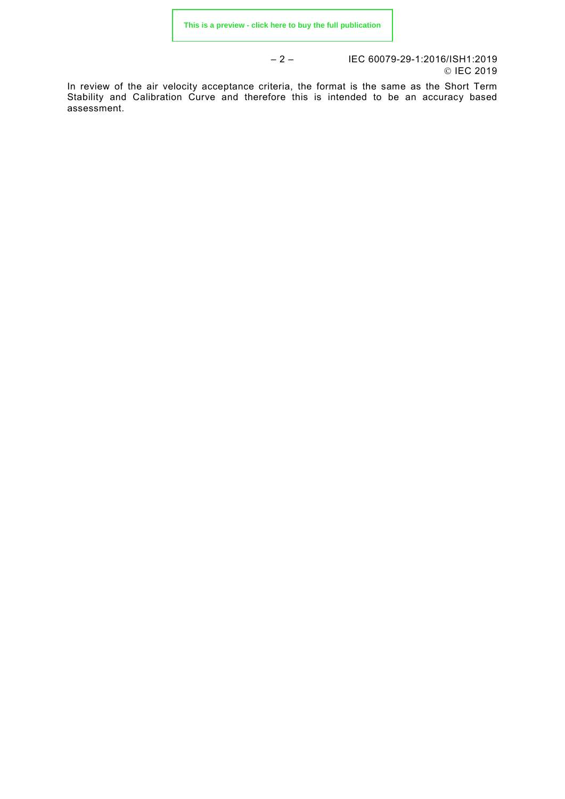**[This is a preview - click here to buy the full publication](https://webstore.iec.ch/publication/25484&preview)**

– 2 – IEC 60079-29-1:2016/ISH1:2019

© IEC 2019

In review of the air velocity acceptance criteria, the format is the same as the Short Term Stability and Calibration Curve and therefore this is intended to be an accuracy based assessment.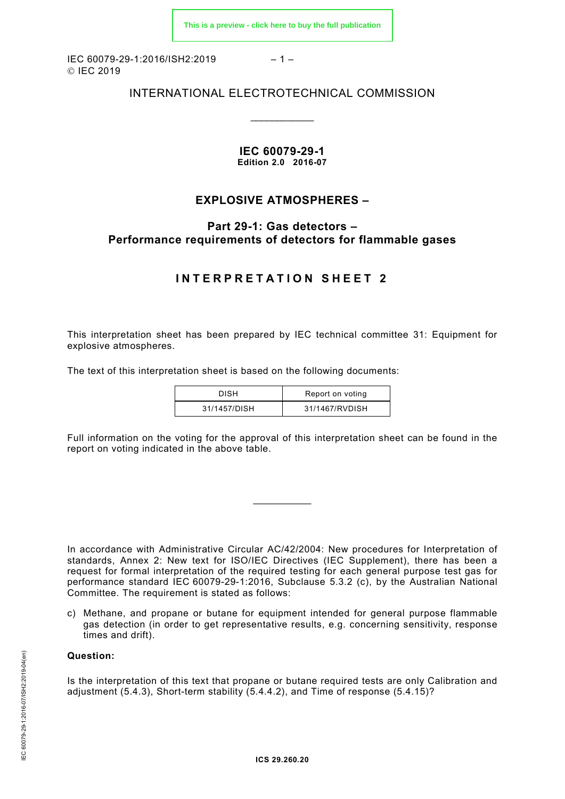IEC 60079-29-1:2016/ISH2:2019 – 1 – © IFC 2019

# INTERNATIONAL ELECTROTECHNICAL COMMISSION

\_\_\_\_\_\_\_\_\_\_\_\_

**IEC 60079-29-1 Edition 2.0 2016-07**

# **EXPLOSIVE ATMOSPHERES –**

# **Part 29-1: Gas detectors – Performance requirements of detectors for flammable gases**

# **INTERPRETATION SHEET 2**

This interpretation sheet has been prepared by IEC technical committee 31: Equipment for explosive atmospheres.

The text of this interpretation sheet is based on the following documents:

| <b>DISH</b>  | Report on voting |  |  |
|--------------|------------------|--|--|
| 31/1457/DISH | 31/1467/RVDISH   |  |  |

Full information on the voting for the approval of this interpretation sheet can be found in the report on voting indicated in the above table.

 $\overline{\phantom{a}}$ 

In accordance with Administrative Circular AC/42/2004: New procedures for Interpretation of standards, Annex 2: New text for ISO/IEC Directives (IEC Supplement), there has been a request for formal interpretation of the required testing for each general purpose test gas for performance standard IEC 60079-29-1:2016, Subclause 5.3.2 (c), by the Australian National Committee. The requirement is stated as follows:

c) Methane, and propane or butane for equipment intended for general purpose flammable gas detection (in order to get representative results, e.g. concerning sensitivity, response times and drift).

#### **Question:**

Is the interpretation of this text that propane or butane required tests are only Calibration and adjustment (5.4.3), Short-term stability (5.4.4.2), and Time of response (5.4.15)?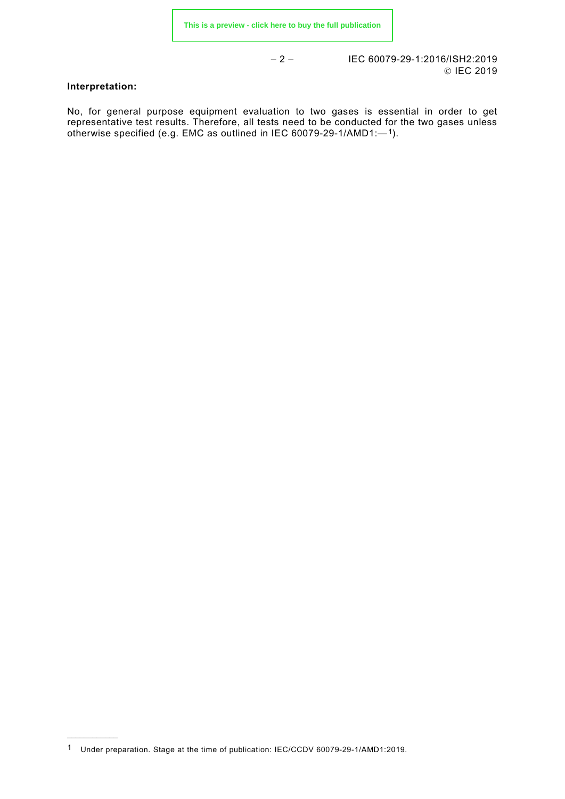#### – 2 – IEC 60079-29-1:2016/ISH2:2019 © IEC 2019

#### **Interpretation:**

 $\frac{1}{2}$ 

No, for general purpose equipment evaluation to two gases is essential in order to get representative test results. Therefore, all tests need to be conducted for the two gases unless otherwise specified (e.g. EMC as outlined in IEC 60079-29-1/AMD1:—[1\)](#page-4-0).

<span id="page-4-0"></span><sup>1</sup> Under preparation. Stage at the time of publication: IEC/CCDV 60079-29-1/AMD1:2019.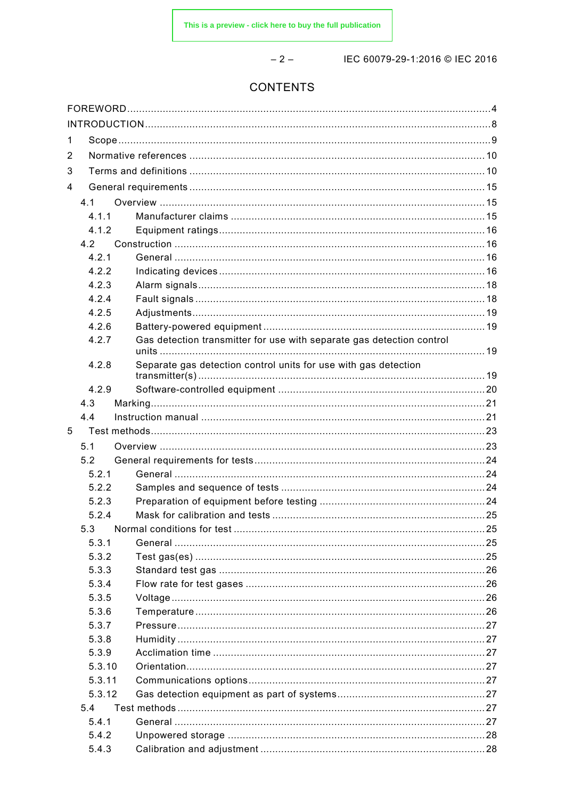$-2-$ 

IEC 60079-29-1:2016 © IEC 2016

# **CONTENTS**

| 1 |        |                                                                       |  |
|---|--------|-----------------------------------------------------------------------|--|
| 2 |        |                                                                       |  |
| 3 |        |                                                                       |  |
| 4 |        |                                                                       |  |
|   | 4.1    |                                                                       |  |
|   | 4.1.1  |                                                                       |  |
|   | 4.1.2  |                                                                       |  |
|   | 4.2    |                                                                       |  |
|   | 4.2.1  |                                                                       |  |
|   | 4.2.2  |                                                                       |  |
|   | 4.2.3  |                                                                       |  |
|   | 4.2.4  |                                                                       |  |
|   | 4.2.5  |                                                                       |  |
|   | 4.2.6  |                                                                       |  |
|   | 4.2.7  | Gas detection transmitter for use with separate gas detection control |  |
|   |        |                                                                       |  |
|   | 4.2.8  | Separate gas detection control units for use with gas detection       |  |
|   | 4.2.9  |                                                                       |  |
|   | 4.3    |                                                                       |  |
|   | 4.4    |                                                                       |  |
| 5 |        |                                                                       |  |
|   | 5.1    |                                                                       |  |
|   | 5.2    |                                                                       |  |
|   | 5.2.1  |                                                                       |  |
|   | 5.2.2  |                                                                       |  |
|   | 5.2.3  |                                                                       |  |
|   | 5.2.4  |                                                                       |  |
|   |        |                                                                       |  |
|   | 5.3.1  |                                                                       |  |
|   | 5.3.2  |                                                                       |  |
|   | 5.3.3  |                                                                       |  |
|   | 5.3.4  |                                                                       |  |
|   | 5.3.5  |                                                                       |  |
|   | 5.3.6  |                                                                       |  |
|   | 5.3.7  |                                                                       |  |
|   | 5.3.8  |                                                                       |  |
|   | 5.3.9  |                                                                       |  |
|   | 5.3.10 |                                                                       |  |
|   | 5.3.11 |                                                                       |  |
|   | 5.3.12 |                                                                       |  |
|   | 5.4    |                                                                       |  |
|   | 5.4.1  |                                                                       |  |
|   | 5.4.2  |                                                                       |  |
|   | 5.4.3  |                                                                       |  |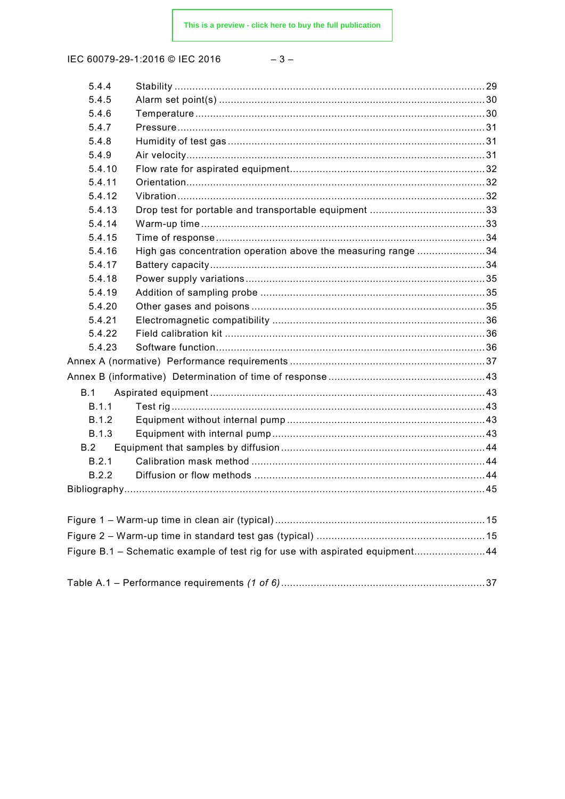IEC 60079-29-1:2016 © IEC 2016

|  | ۰.<br>M. |  |
|--|----------|--|
|--|----------|--|

| 5.4.4  |                                                                               |  |
|--------|-------------------------------------------------------------------------------|--|
| 5.4.5  |                                                                               |  |
| 5.4.6  |                                                                               |  |
| 5.4.7  |                                                                               |  |
| 5.4.8  |                                                                               |  |
| 5.4.9  |                                                                               |  |
| 5.4.10 |                                                                               |  |
| 5.4.11 |                                                                               |  |
| 5.4.12 |                                                                               |  |
| 5.4.13 |                                                                               |  |
| 5.4.14 |                                                                               |  |
| 5.4.15 |                                                                               |  |
| 5.4.16 | High gas concentration operation above the measuring range 34                 |  |
| 5.4.17 |                                                                               |  |
| 5.4.18 |                                                                               |  |
| 5.4.19 |                                                                               |  |
| 5.4.20 |                                                                               |  |
| 5.4.21 |                                                                               |  |
| 5.4.22 |                                                                               |  |
| 5.4.23 |                                                                               |  |
|        |                                                                               |  |
|        |                                                                               |  |
| B.1    |                                                                               |  |
| B.1.1  |                                                                               |  |
| B.1.2  |                                                                               |  |
| B.1.3  |                                                                               |  |
| B.2    |                                                                               |  |
| B.2.1  |                                                                               |  |
| B.2.2  |                                                                               |  |
|        |                                                                               |  |
|        |                                                                               |  |
|        |                                                                               |  |
|        |                                                                               |  |
|        | Figure B.1 - Schematic example of test rig for use with aspirated equipment44 |  |
|        |                                                                               |  |
|        |                                                                               |  |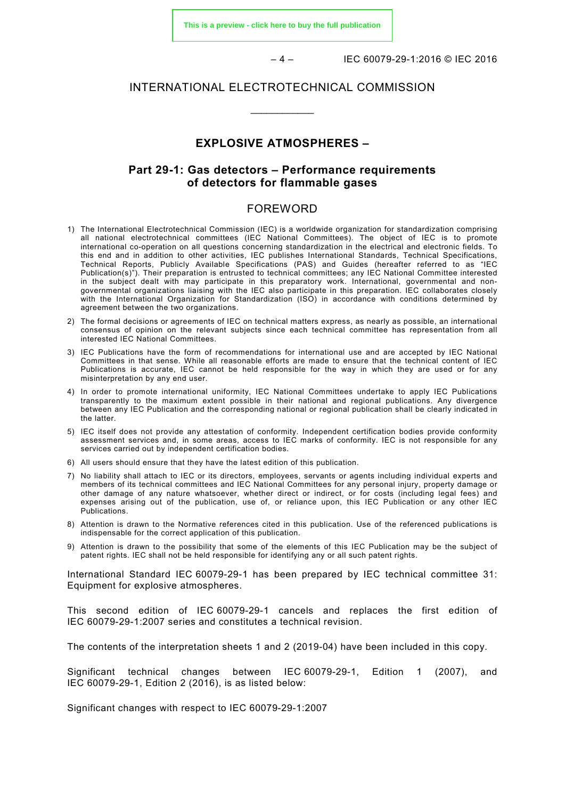**[This is a preview - click here to buy the full publication](https://webstore.iec.ch/publication/25484&preview)**

– 4 – IEC 60079-29-1:2016 © IEC 2016

#### INTERNATIONAL ELECTROTECHNICAL COMMISSION

# **EXPLOSIVE ATMOSPHERES –**

# **Part 29-1: Gas detectors – Performance requirements of detectors for flammable gases**

### FOREWORD

- <span id="page-7-0"></span>1) The International Electrotechnical Commission (IEC) is a worldwide organization for standardization comprising all national electrotechnical committees (IEC National Committees). The object of IEC is to promote international co-operation on all questions concerning standardization in the electrical and electronic fields. To this end and in addition to other activities, IEC publishes International Standards, Technical Specifications, Technical Reports, Publicly Available Specifications (PAS) and Guides (hereafter referred to as "IEC Publication(s)"). Their preparation is entrusted to technical committees; any IEC National Committee interested in the subject dealt with may participate in this preparatory work. International, governmental and nongovernmental organizations liaising with the IEC also participate in this preparation. IEC collaborates closely with the International Organization for Standardization (ISO) in accordance with conditions determined by agreement between the two organizations.
- 2) The formal decisions or agreements of IEC on technical matters express, as nearly as possible, an international consensus of opinion on the relevant subjects since each technical committee has representation from all interested IEC National Committees.
- 3) IEC Publications have the form of recommendations for international use and are accepted by IEC National Committees in that sense. While all reasonable efforts are made to ensure that the technical content of IEC Publications is accurate, IEC cannot be held responsible for the way in which they are used or for any misinterpretation by any end user.
- 4) In order to promote international uniformity, IEC National Committees undertake to apply IEC Publications transparently to the maximum extent possible in their national and regional publications. Any divergence between any IEC Publication and the corresponding national or regional publication shall be clearly indicated in the latter.
- 5) IEC itself does not provide any attestation of conformity. Independent certification bodies provide conformity assessment services and, in some areas, access to IEC marks of conformity. IEC is not responsible for any services carried out by independent certification bodies.
- 6) All users should ensure that they have the latest edition of this publication.
- 7) No liability shall attach to IEC or its directors, employees, servants or agents including individual experts and members of its technical committees and IEC National Committees for any personal injury, property damage or other damage of any nature whatsoever, whether direct or indirect, or for costs (including legal fees) and expenses arising out of the publication, use of, or reliance upon, this IEC Publication or any other IEC Publications.
- 8) Attention is drawn to the Normative references cited in this publication. Use of the referenced publications is indispensable for the correct application of this publication.
- 9) Attention is drawn to the possibility that some of the elements of this IEC Publication may be the subject of patent rights. IEC shall not be held responsible for identifying any or all such patent rights.

International Standard IEC 60079-29-1 has been prepared by IEC technical committee 31: Equipment for explosive atmospheres.

This second edition of IEC 60079-29-1 cancels and replaces the first edition of IEC 60079-29-1:2007 series and constitutes a technical revision.

The contents of the interpretation sheets 1 and 2 (2019-04) have been included in this copy.

Significant technical changes between IEC 60079-29-1, Edition 1 (2007), and IEC 60079-29-1, Edition 2 (2016), is as listed below:

Significant changes with respect to IEC 60079-29-1:2007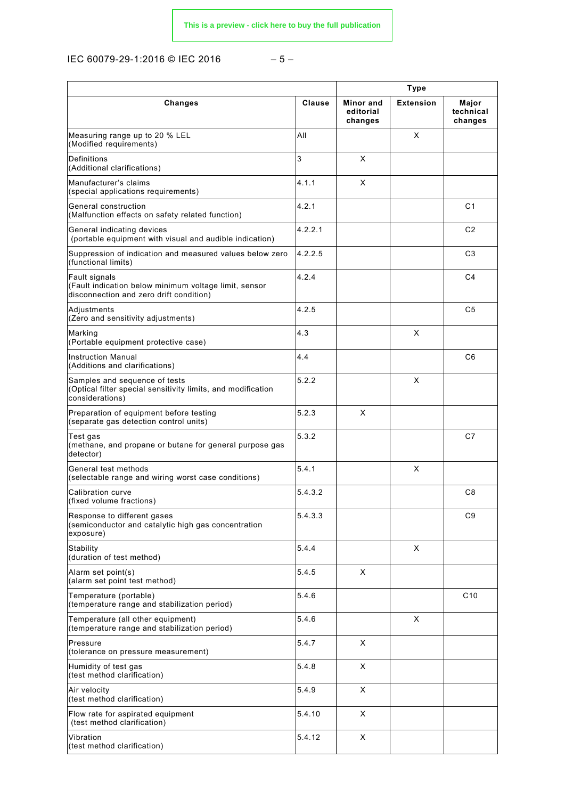IEC 60079-29-1:2016 © IEC 2016 – 5 –

|                                                                                                                   | <b>Type</b>   |                                   |                  |                               |
|-------------------------------------------------------------------------------------------------------------------|---------------|-----------------------------------|------------------|-------------------------------|
| <b>Changes</b>                                                                                                    | <b>Clause</b> | Minor and<br>editorial<br>changes | <b>Extension</b> | Major<br>technical<br>changes |
| Measuring range up to 20 % LEL<br>(Modified requirements)                                                         | All           |                                   | X                |                               |
| Definitions<br>(Additional clarifications)                                                                        | 3             | X                                 |                  |                               |
| Manufacturer's claims<br>(special applications requirements)                                                      | 4.1.1         | X                                 |                  |                               |
| General construction<br>(Malfunction effects on safety related function)                                          | 4.2.1         |                                   |                  | C <sub>1</sub>                |
| General indicating devices<br>(portable equipment with visual and audible indication)                             | 4.2.2.1       |                                   |                  | C <sub>2</sub>                |
| Suppression of indication and measured values below zero<br>(functional limits)                                   | 4.2.2.5       |                                   |                  | C <sub>3</sub>                |
| Fault signals<br>(Fault indication below minimum voltage limit, sensor<br>disconnection and zero drift condition) | 4.2.4         |                                   |                  | C4                            |
| Adjustments<br>(Zero and sensitivity adjustments)                                                                 | 4.2.5         |                                   |                  | C5                            |
| Marking<br>(Portable equipment protective case)                                                                   | 4.3           |                                   | X                |                               |
| <b>Instruction Manual</b><br>(Additions and clarifications)                                                       | 4.4           |                                   |                  | C6                            |
| Samples and sequence of tests<br>(Optical filter special sensitivity limits, and modification<br>considerations)  | 5.2.2         |                                   | X                |                               |
| Preparation of equipment before testing<br>(separate gas detection control units)                                 | 5.2.3         | X                                 |                  |                               |
| Test gas<br>(methane, and propane or butane for general purpose gas<br>detector)                                  | 5.3.2         |                                   |                  | C7                            |
| General test methods<br>(selectable range and wiring worst case conditions)                                       | 5.4.1         |                                   | X                |                               |
| Calibration curve<br>(fixed volume fractions)                                                                     | 5.4.3.2       |                                   |                  | C8                            |
| Response to different gases<br>(semiconductor and catalytic high gas concentration<br>exposure)                   | 5.4.3.3       |                                   |                  | C <sub>9</sub>                |
| Stability<br>(duration of test method)                                                                            | 5.4.4         |                                   | X                |                               |
| Alarm set point(s)<br>(alarm set point test method)                                                               | 5.4.5         | X.                                |                  |                               |
| Temperature (portable)<br>(temperature range and stabilization period)                                            | 5.4.6         |                                   |                  | C10                           |
| Temperature (all other equipment)<br>(temperature range and stabilization period)                                 | 5.4.6         |                                   | X                |                               |
| Pressure<br>(tolerance on pressure measurement)                                                                   | 5.4.7         | X                                 |                  |                               |
| Humidity of test gas<br>(test method clarification)                                                               | 5.4.8         | X.                                |                  |                               |
| Air velocity<br>(test method clarification)                                                                       | 5.4.9         | X                                 |                  |                               |
| Flow rate for aspirated equipment<br>(test method clarification)                                                  | 5.4.10        | X                                 |                  |                               |
| Vibration<br>(test method clarification)                                                                          | 5.4.12        | X                                 |                  |                               |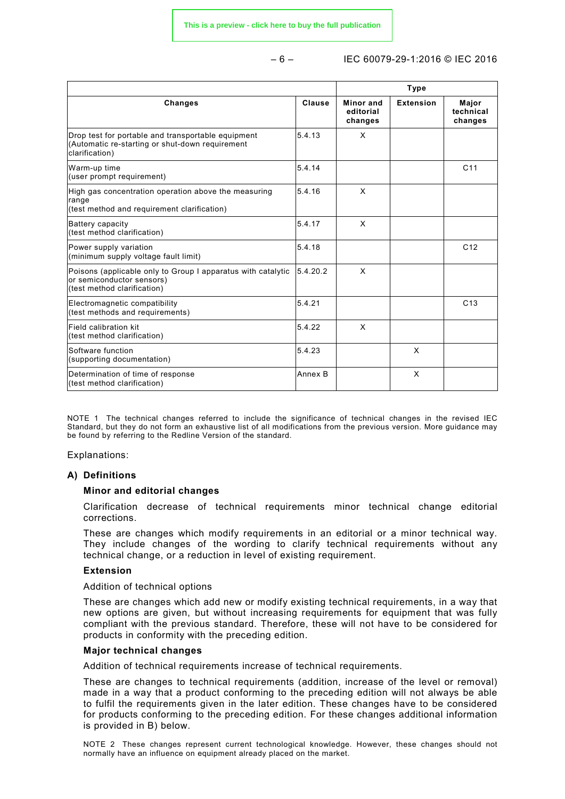#### – 6 – IEC 60079-29-1:2016 © IEC 2016

|                                                                                                                          |          |                                   | <b>Type</b>      |                               |
|--------------------------------------------------------------------------------------------------------------------------|----------|-----------------------------------|------------------|-------------------------------|
| <b>Changes</b>                                                                                                           | Clause   | Minor and<br>editorial<br>changes | <b>Extension</b> | Major<br>technical<br>changes |
| Drop test for portable and transportable equipment<br>(Automatic re-starting or shut-down requirement<br>clarification)  | 5.4.13   | X                                 |                  |                               |
| Warm-up time<br>(user prompt requirement)                                                                                | 5.4.14   |                                   |                  | C <sub>11</sub>               |
| High gas concentration operation above the measuring<br>range<br>(test method and requirement clarification)             | 54 16    | X                                 |                  |                               |
| Battery capacity<br>(test method clarification)                                                                          | 5.4.17   | X                                 |                  |                               |
| Power supply variation<br>(minimum supply voltage fault limit)                                                           | 5.4.18   |                                   |                  | C <sub>12</sub>               |
| Poisons (applicable only to Group I apparatus with catalytic<br>or semiconductor sensors)<br>(test method clarification) | 5.4.20.2 | X                                 |                  |                               |
| Electromagnetic compatibility<br>(test methods and requirements)                                                         | 54 21    |                                   |                  | C <sub>13</sub>               |
| Field calibration kit<br>(test method clarification)                                                                     | 5.4.22   | X                                 |                  |                               |
| Software function<br>(supporting documentation)                                                                          | 5.4.23   |                                   | X                |                               |
| Determination of time of response<br>(test method clarification)                                                         | Annex B  |                                   | X                |                               |

NOTE 1 The technical changes referred to include the significance of technical changes in the revised IEC Standard, but they do not form an exhaustive list of all modifications from the previous version. More guidance may be found by referring to the Redline Version of the standard.

#### Explanations:

#### **A) Definitions**

#### **Minor and editorial changes**

Clarification decrease of technical requirements minor technical change editorial corrections.

These are changes which modify requirements in an editorial or a minor technical way. They include changes of the wording to clarify technical requirements without any technical change, or a reduction in level of existing requirement.

#### **Extension**

#### Addition of technical options

These are changes which add new or modify existing technical requirements, in a way that new options are given, but without increasing requirements for equipment that was fully compliant with the previous standard. Therefore, these will not have to be considered for products in conformity with the preceding edition.

#### **Major technical changes**

Addition of technical requirements increase of technical requirements.

These are changes to technical requirements (addition, increase of the level or removal) made in a way that a product conforming to the preceding edition will not always be able to fulfil the requirements given in the later edition. These changes have to be considered for products conforming to the preceding edition. For these changes additional information is provided in B) below.

NOTE 2 These changes represent current technological knowledge. However, these changes should not normally have an influence on equipment already placed on the market.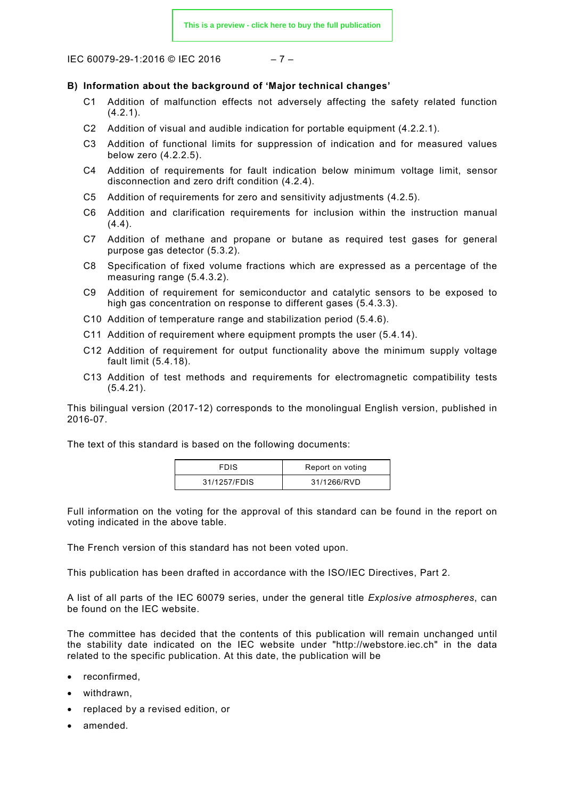IEC 60079-29-1:2016 © IEC 2016 – 7 –

#### **B) Information about the background of 'Major technical changes'**

- C1 Addition of malfunction effects not adversely affecting the safety related function  $(4.2.1)$ .
- C2 Addition of visual and audible indication for portable equipment (4.2.2.1).
- C3 Addition of functional limits for suppression of indication and for measured values below zero (4.2.2.5).
- C4 Addition of requirements for fault indication below minimum voltage limit, sensor disconnection and zero drift condition (4.2.4).
- C5 Addition of requirements for zero and sensitivity adjustments (4.2.5).
- C6 Addition and clarification requirements for inclusion within the instruction manual  $(4.4)$ .
- C7 Addition of methane and propane or butane as required test gases for general purpose gas detector (5.3.2).
- C8 Specification of fixed volume fractions which are expressed as a percentage of the measuring range (5.4.3.2).
- C9 Addition of requirement for semiconductor and catalytic sensors to be exposed to high gas concentration on response to different gases (5.4.3.3).
- C10 Addition of temperature range and stabilization period (5.4.6).
- C11 Addition of requirement where equipment prompts the user (5.4.14).
- C12 Addition of requirement for output functionality above the minimum supply voltage fault limit (5.4.18).
- C13 Addition of test methods and requirements for electromagnetic compatibility tests (5.4.21).

This bilingual version (2017-12) corresponds to the monolingual English version, published in 2016-07.

The text of this standard is based on the following documents:

| <b>FDIS</b>  | Report on voting |
|--------------|------------------|
| 31/1257/FDIS | 31/1266/RVD      |

Full information on the voting for the approval of this standard can be found in the report on voting indicated in the above table.

The French version of this standard has not been voted upon.

This publication has been drafted in accordance with the ISO/IEC Directives, Part 2.

A list of all parts of the IEC 60079 series, under the general title *Explosive atmospheres*, can be found on the IEC website.

The committee has decided that the contents of this publication will remain unchanged until the stability date indicated on the IEC website under "http://webstore.iec.ch" in the data related to the specific publication. At this date, the publication will be

- reconfirmed,
- withdrawn,
- replaced by a revised edition, or
- amended.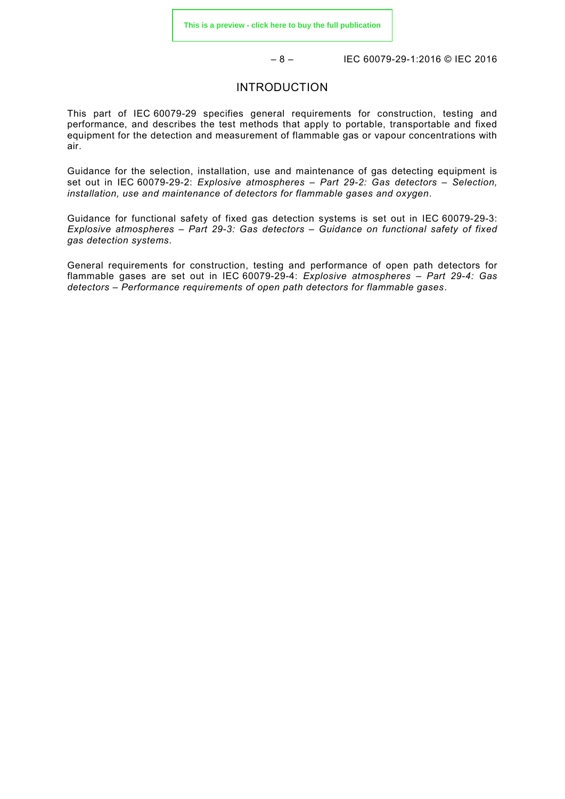$-8 -$  IEC 60079-29-1:2016 © IEC 2016

#### INTRODUCTION

<span id="page-11-0"></span>This part of IEC 60079-29 specifies general requirements for construction, testing and performance, and describes the test methods that apply to portable, transportable and fixed equipment for the detection and measurement of flammable gas or vapour concentrations with air.

Guidance for the selection, installation, use and maintenance of gas detecting equipment is set out in IEC 60079-29-2: *Explosive atmospheres – Part 29-2: Gas detectors – Selection, installation, use and maintenance of detectors for flammable gases and oxygen*.

Guidance for functional safety of fixed gas detection systems is set out in IEC 60079-29-3: *Explosive atmospheres – Part 29-3: Gas detectors – Guidance on functional safety of fixed gas detection systems*.

General requirements for construction, testing and performance of open path detectors for flammable gases are set out in IEC 60079-29-4: *Explosive atmospheres – Part 29-4: Gas detectors – Performance requirements of open path detectors for flammable gases*.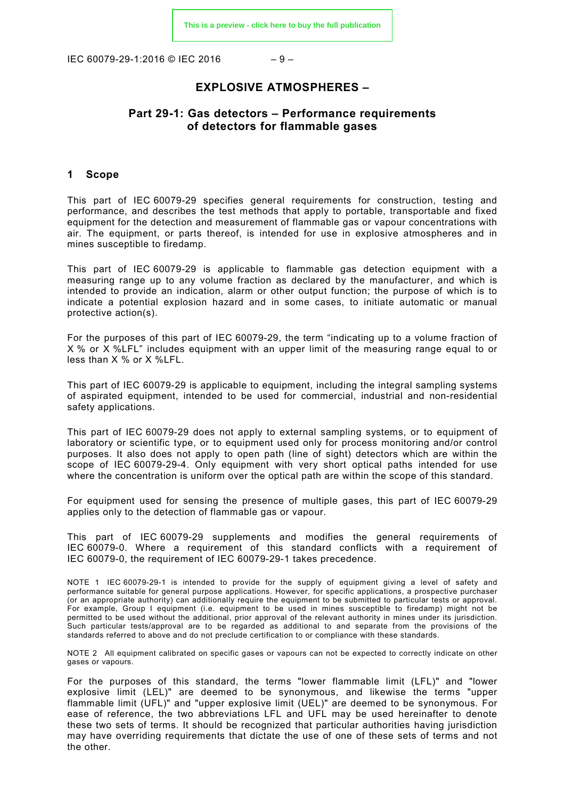IEC 60079-29-1:2016 © IEC 2016  $-9-$ 

# **EXPLOSIVE ATMOSPHERES –**

# **Part 29-1: Gas detectors – Performance requirements of detectors for flammable gases**

#### <span id="page-12-0"></span>**1 Scope**

This part of IEC 60079-29 specifies general requirements for construction, testing and performance, and describes the test methods that apply to portable, transportable and fixed equipment for the detection and measurement of flammable gas or vapour concentrations with air. The equipment, or parts thereof, is intended for use in explosive atmospheres and in mines susceptible to firedamp.

This part of IEC 60079-29 is applicable to flammable gas detection equipment with a measuring range up to any volume fraction as declared by the manufacturer, and which is intended to provide an indication, alarm or other output function; the purpose of which is to indicate a potential explosion hazard and in some cases, to initiate automatic or manual protective action(s).

For the purposes of this part of IEC 60079-29, the term "indicating up to a volume fraction of X % or X %LFL" includes equipment with an upper limit of the measuring range equal to or less than X % or X %LFL.

This part of IEC 60079-29 is applicable to equipment, including the integral sampling systems of aspirated equipment, intended to be used for commercial, industrial and non-residential safety applications.

This part of IEC 60079-29 does not apply to external sampling systems, or to equipment of laboratory or scientific type, or to equipment used only for process monitoring and/or control purposes. It also does not apply to open path (line of sight) detectors which are within the scope of IEC 60079-29-4. Only equipment with very short optical paths intended for use where the concentration is uniform over the optical path are within the scope of this standard.

For equipment used for sensing the presence of multiple gases, this part of IEC 60079-29 applies only to the detection of flammable gas or vapour.

This part of IEC 60079-29 supplements and modifies the general requirements of IEC 60079-0. Where a requirement of this standard conflicts with a requirement of IEC 60079-0, the requirement of IEC 60079-29-1 takes precedence.

NOTE 1 IEC 60079-29-1 is intended to provide for the supply of equipment giving a level of safety and performance suitable for general purpose applications. However, for specific applications, a prospective purchaser (or an appropriate authority) can additionally require the equipment to be submitted to particular tests or approval. For example, Group I equipment (i.e. equipment to be used in mines susceptible to firedamp) might not be permitted to be used without the additional, prior approval of the relevant authority in mines under its jurisdiction. Such particular tests/approval are to be regarded as additional to and separate from the provisions of the standards referred to above and do not preclude certification to or compliance with these standards.

NOTE 2 All equipment calibrated on specific gases or vapours can not be expected to correctly indicate on other gases or vapours.

For the purposes of this standard, the terms "lower flammable limit (LFL)" and "lower explosive limit (LEL)" are deemed to be synonymous, and likewise the terms "upper flammable limit (UFL)" and "upper explosive limit (UEL)" are deemed to be synonymous. For ease of reference, the two abbreviations LFL and UFL may be used hereinafter to denote these two sets of terms. It should be recognized that particular authorities having jurisdiction may have overriding requirements that dictate the use of one of these sets of terms and not the other.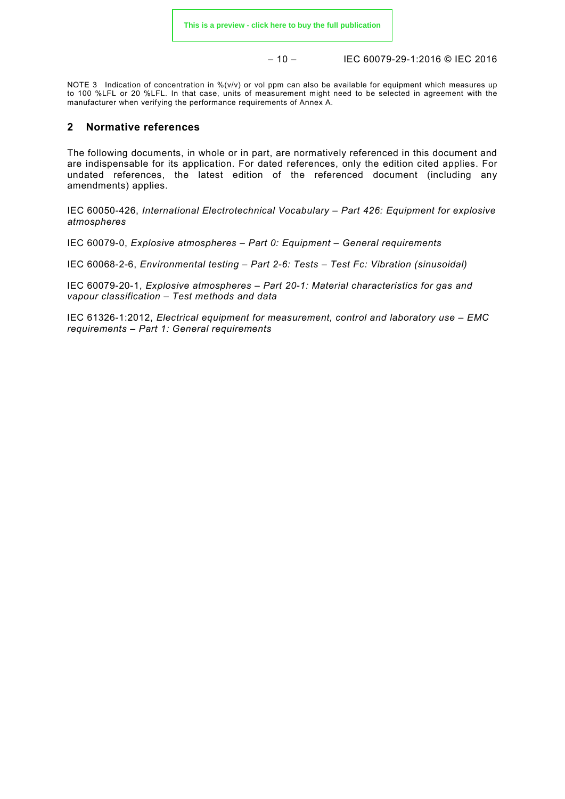– 10 – IEC 60079-29-1:2016 © IEC 2016

NOTE 3 Indication of concentration in %(v/v) or vol ppm can also be available for equipment which measures up to 100 %LFL or 20 %LFL. In that case, units of measurement might need to be selected in agreement with the manufacturer when verifying the performance requirements of Annex A.

#### <span id="page-13-0"></span>**2 Normative references**

The following documents, in whole or in part, are normatively referenced in this document and are indispensable for its application. For dated references, only the edition cited applies. For undated references, the latest edition of the referenced document (including any amendments) applies.

IEC 60050-426, *International Electrotechnical Vocabulary – Part 426: Equipment for explosive atmospheres*

IEC 60079-0, *Explosive atmospheres – Part 0: Equipment – General requirements*

IEC 60068-2-6, *Environmental testing – Part 2-6: Tests – Test Fc: Vibration (sinusoidal)*

IEC 60079-20-1, *Explosive atmospheres – Part 20-1: Material characteristics for gas and vapour classification – Test methods and data*

<span id="page-13-1"></span>IEC 61326-1:2012, *Electrical equipment for measurement, control and laboratory use – EMC requirements – Part 1: General requirements*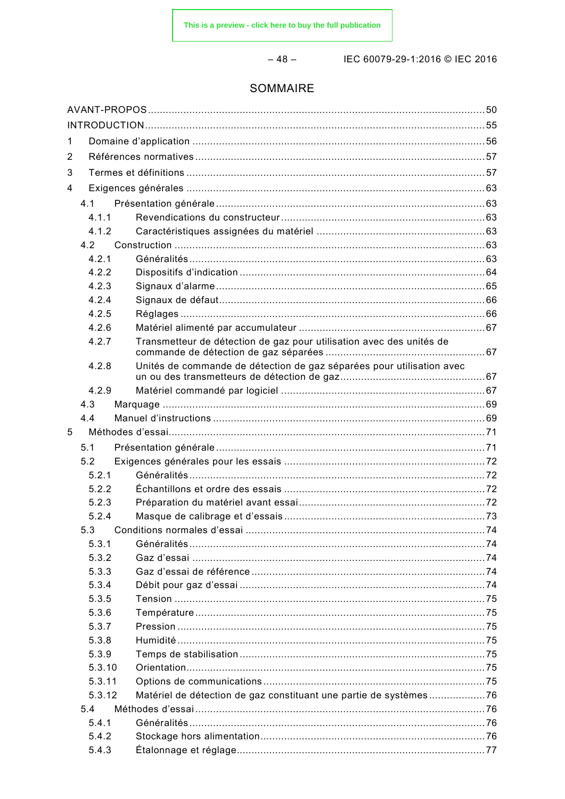$-48-$ 

IEC 60079-29-1:2016 © IEC 2016

# **SOMMAIRE**

| 1 |        |                                                                       |  |
|---|--------|-----------------------------------------------------------------------|--|
| 2 |        |                                                                       |  |
| 3 |        |                                                                       |  |
| 4 |        |                                                                       |  |
|   | 4.1    |                                                                       |  |
|   | 4.1.1  |                                                                       |  |
|   | 4.1.2  |                                                                       |  |
|   | 4.2    |                                                                       |  |
|   | 4.2.1  |                                                                       |  |
|   | 4.2.2  |                                                                       |  |
|   | 4.2.3  |                                                                       |  |
|   | 4.2.4  |                                                                       |  |
|   | 4.2.5  |                                                                       |  |
|   | 4.2.6  |                                                                       |  |
|   | 4.2.7  | Transmetteur de détection de gaz pour utilisation avec des unités de  |  |
|   | 4.2.8  | Unités de commande de détection de gaz séparées pour utilisation avec |  |
|   |        |                                                                       |  |
|   | 4.2.9  |                                                                       |  |
|   | 4.3    |                                                                       |  |
|   | 4.4    |                                                                       |  |
| 5 |        |                                                                       |  |
|   | 5.1    |                                                                       |  |
|   | 5.2    |                                                                       |  |
|   | 5.2.1  |                                                                       |  |
|   | 5.2.2  |                                                                       |  |
|   | 5.2.3  |                                                                       |  |
|   | 5.2.4  |                                                                       |  |
|   |        | 5.3 Conditions normales d'essai<br>74                                 |  |
|   | 5.3.1  |                                                                       |  |
|   | 5.3.2  |                                                                       |  |
|   | 5.3.3  |                                                                       |  |
|   | 5.3.4  |                                                                       |  |
|   | 5.3.5  |                                                                       |  |
|   | 5.3.6  |                                                                       |  |
|   | 5.3.7  |                                                                       |  |
|   | 5.3.8  |                                                                       |  |
|   | 5.3.9  |                                                                       |  |
|   | 5.3.10 |                                                                       |  |
|   | 5.3.11 |                                                                       |  |
|   | 5.3.12 | Matériel de détection de gaz constituant une partie de systèmes76     |  |
|   | 5.4    |                                                                       |  |
|   | 5.4.1  |                                                                       |  |
|   | 5.4.2  |                                                                       |  |
|   | 5.4.3  |                                                                       |  |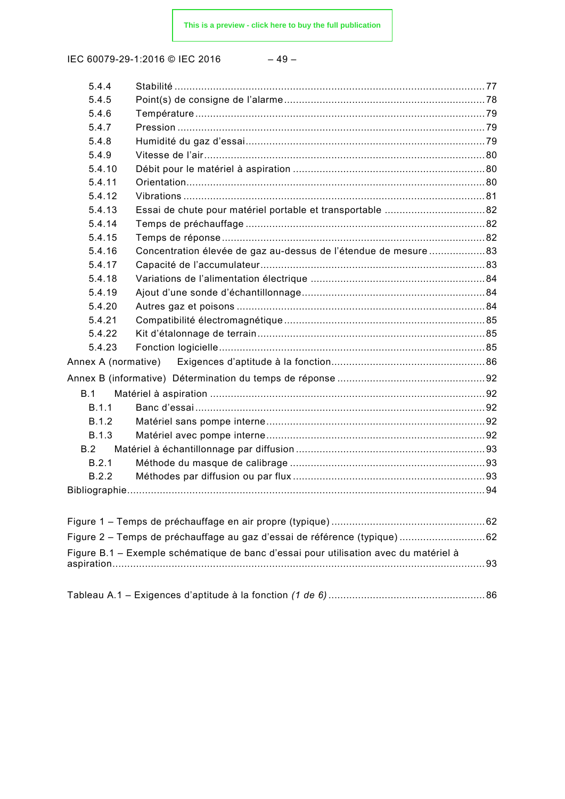IEC 60079-29-1:2016 © IEC 2016 – 49 –

| 5.4.4               |                                                                                      |  |
|---------------------|--------------------------------------------------------------------------------------|--|
| 5.4.5               |                                                                                      |  |
| 5.4.6               |                                                                                      |  |
| 5.4.7               |                                                                                      |  |
| 5.4.8               |                                                                                      |  |
| 5.4.9               |                                                                                      |  |
| 5.4.10              |                                                                                      |  |
| 5.4.11              |                                                                                      |  |
| 5.4.12              |                                                                                      |  |
| 5.4.13              |                                                                                      |  |
| 5.4.14              |                                                                                      |  |
| 5.4.15              |                                                                                      |  |
| 5.4.16              | Concentration élevée de gaz au-dessus de l'étendue de mesure 83                      |  |
| 5.4.17              |                                                                                      |  |
| 5.4.18              |                                                                                      |  |
| 5.4.19              |                                                                                      |  |
| 5.4.20              |                                                                                      |  |
| 5.4.21              |                                                                                      |  |
| 5.4.22              |                                                                                      |  |
| 5.4.23              |                                                                                      |  |
| Annex A (normative) |                                                                                      |  |
|                     |                                                                                      |  |
| B.1                 |                                                                                      |  |
| B.1.1               |                                                                                      |  |
| B.1.2               |                                                                                      |  |
| <b>B.1.3</b>        |                                                                                      |  |
| B.2                 |                                                                                      |  |
| B.2.1               |                                                                                      |  |
| B.2.2               |                                                                                      |  |
|                     |                                                                                      |  |
|                     |                                                                                      |  |
|                     |                                                                                      |  |
|                     | Figure 2 – Temps de préchauffage au gaz d'essai de référence (typique)  62           |  |
|                     | Figure B.1 - Exemple schématique de banc d'essai pour utilisation avec du matériel à |  |
|                     |                                                                                      |  |
|                     |                                                                                      |  |
|                     |                                                                                      |  |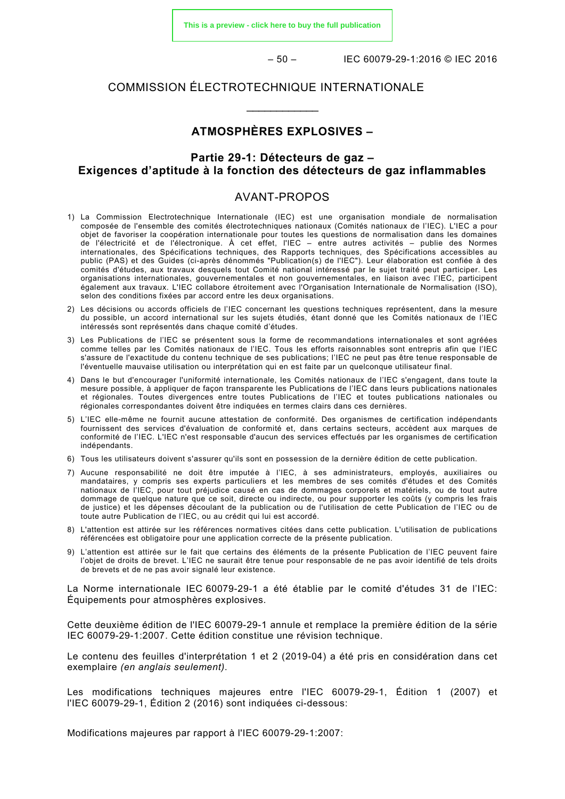**[This is a preview - click here to buy the full publication](https://webstore.iec.ch/publication/25484&preview)**

 $-50 -$  IEC 60079-29-1:2016 © IEC 2016

# COMMISSION ÉLECTROTECHNIQUE INTERNATIONALE

#### **ATMOSPHÈRES EXPLOSIVES –**

 $\overline{\phantom{a}}$  . The contract of  $\overline{\phantom{a}}$ 

# **Partie 29-1: Détecteurs de gaz – Exigences d'aptitude à la fonction des détecteurs de gaz inflammables**

### AVANT-PROPOS

- <span id="page-16-0"></span>1) La Commission Electrotechnique Internationale (IEC) est une organisation mondiale de normalisation composée de l'ensemble des comités électrotechniques nationaux (Comités nationaux de l'IEC). L'IEC a pour objet de favoriser la coopération internationale pour toutes les questions de normalisation dans les domaines de l'électricité et de l'électronique. À cet effet, l'IEC – entre autres activités – publie des Normes internationales, des Spécifications techniques, des Rapports techniques, des Spécifications accessibles au public (PAS) et des Guides (ci-après dénommés "Publication(s) de l'IEC"). Leur élaboration est confiée à des comités d'études, aux travaux desquels tout Comité national intéressé par le sujet traité peut participer. Les organisations internationales, gouvernementales et non gouvernementales, en liaison avec l'IEC, participent également aux travaux. L'IEC collabore étroitement avec l'Organisation Internationale de Normalisation (ISO), selon des conditions fixées par accord entre les deux organisations.
- 2) Les décisions ou accords officiels de l'IEC concernant les questions techniques représentent, dans la mesure du possible, un accord international sur les sujets étudiés, étant donné que les Comités nationaux de l'IEC intéressés sont représentés dans chaque comité d'études.
- 3) Les Publications de l'IEC se présentent sous la forme de recommandations internationales et sont agréées comme telles par les Comités nationaux de l'IEC. Tous les efforts raisonnables sont entrepris afin que l'IEC s'assure de l'exactitude du contenu technique de ses publications; l'IEC ne peut pas être tenue responsable de l'éventuelle mauvaise utilisation ou interprétation qui en est faite par un quelconque utilisateur final.
- 4) Dans le but d'encourager l'uniformité internationale, les Comités nationaux de l'IEC s'engagent, dans toute la mesure possible, à appliquer de façon transparente les Publications de l'IEC dans leurs publications nationales et régionales. Toutes divergences entre toutes Publications de l'IEC et toutes publications nationales ou régionales correspondantes doivent être indiquées en termes clairs dans ces dernières.
- 5) L'IEC elle-même ne fournit aucune attestation de conformité. Des organismes de certification indépendants fournissent des services d'évaluation de conformité et, dans certains secteurs, accèdent aux marques de conformité de l'IEC. L'IEC n'est responsable d'aucun des services effectués par les organismes de certification indépendants.
- 6) Tous les utilisateurs doivent s'assurer qu'ils sont en possession de la dernière édition de cette publication.
- 7) Aucune responsabilité ne doit être imputée à l'IEC, à ses administrateurs, employés, auxiliaires ou mandataires, y compris ses experts particuliers et les membres de ses comités d'études et des Comités nationaux de l'IEC, pour tout préjudice causé en cas de dommages corporels et matériels, ou de tout autre dommage de quelque nature que ce soit, directe ou indirecte, ou pour supporter les coûts (y compris les frais de justice) et les dépenses découlant de la publication ou de l'utilisation de cette Publication de l'IEC ou de toute autre Publication de l'IEC, ou au crédit qui lui est accordé.
- 8) L'attention est attirée sur les références normatives citées dans cette publication. L'utilisation de publications référencées est obligatoire pour une application correcte de la présente publication.
- 9) L'attention est attirée sur le fait que certains des éléments de la présente Publication de l'IEC peuvent faire l'objet de droits de brevet. L'IEC ne saurait être tenue pour responsable de ne pas avoir identifié de tels droits de brevets et de ne pas avoir signalé leur existence.

La Norme internationale IEC 60079-29-1 a été établie par le comité d'études 31 de l'IEC: Équipements pour atmosphères explosives.

Cette deuxième édition de l'IEC 60079-29-1 annule et remplace la première édition de la série IEC 60079-29-1:2007. Cette édition constitue une révision technique.

Le contenu des feuilles d'interprétation 1 et 2 (2019-04) a été pris en considération dans cet exemplaire *(en anglais seulement)*.

Les modifications techniques majeures entre l'IEC 60079-29-1, Édition 1 (2007) et l'IEC 60079-29-1, Édition 2 (2016) sont indiquées ci-dessous:

Modifications majeures par rapport à l'IEC 60079-29-1:2007: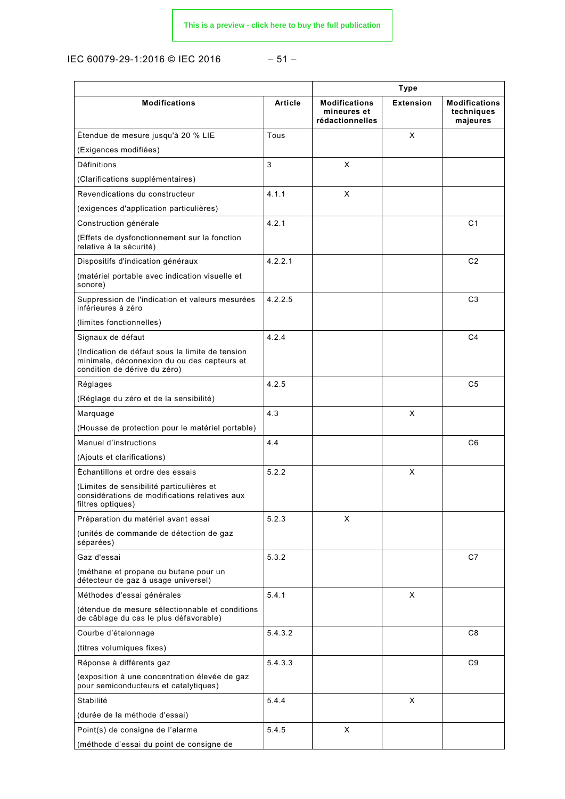IEC 60079-29-1:2016 © IEC 2016 – 51 –

| <b>Modifications</b>                                                                                                           | <b>Article</b> | <b>Modifications</b><br>mineures et<br>rédactionnelles | <b>Extension</b> | <b>Modifications</b><br>techniques<br>majeures |
|--------------------------------------------------------------------------------------------------------------------------------|----------------|--------------------------------------------------------|------------------|------------------------------------------------|
| Étendue de mesure jusqu'à 20 % LIE                                                                                             | Tous           |                                                        | X                |                                                |
| (Exigences modifiées)                                                                                                          |                |                                                        |                  |                                                |
| <b>Définitions</b>                                                                                                             | 3              | X                                                      |                  |                                                |
| (Clarifications supplémentaires)                                                                                               |                |                                                        |                  |                                                |
| Revendications du constructeur                                                                                                 | 4.1.1          | X                                                      |                  |                                                |
| (exigences d'application particulières)                                                                                        |                |                                                        |                  |                                                |
| Construction générale                                                                                                          | 4.2.1          |                                                        |                  | C <sub>1</sub>                                 |
| (Effets de dysfonctionnement sur la fonction<br>relative à la sécurité)                                                        |                |                                                        |                  |                                                |
| Dispositifs d'indication généraux                                                                                              | 4.2.2.1        |                                                        |                  | C <sub>2</sub>                                 |
| (matériel portable avec indication visuelle et<br>sonore)                                                                      |                |                                                        |                  |                                                |
| Suppression de l'indication et valeurs mesurées<br>inférieures à zéro                                                          | 4.2.2.5        |                                                        |                  | C <sub>3</sub>                                 |
| (limites fonctionnelles)                                                                                                       |                |                                                        |                  |                                                |
| Signaux de défaut                                                                                                              | 4.2.4          |                                                        |                  | C4                                             |
| (Indication de défaut sous la limite de tension<br>minimale, déconnexion du ou des capteurs et<br>condition de dérive du zéro) |                |                                                        |                  |                                                |
| Réglages                                                                                                                       | 4.2.5          |                                                        |                  | C5                                             |
| (Réglage du zéro et de la sensibilité)                                                                                         |                |                                                        |                  |                                                |
| Marquage                                                                                                                       | 4.3            |                                                        | X                |                                                |
| (Housse de protection pour le matériel portable)                                                                               |                |                                                        |                  |                                                |
| Manuel d'instructions                                                                                                          | 4.4            |                                                        |                  | C <sub>6</sub>                                 |
| (Ajouts et clarifications)                                                                                                     |                |                                                        |                  |                                                |
| Échantillons et ordre des essais                                                                                               | 5.2.2          |                                                        | X                |                                                |
| (Limites de sensibilité particulières et<br>considérations de modifications relatives aux<br>filtres optiques)                 |                |                                                        |                  |                                                |
| Préparation du matériel avant essai                                                                                            | 5.2.3          | X                                                      |                  |                                                |
| (unités de commande de détection de gaz<br>séparées)                                                                           |                |                                                        |                  |                                                |
| Gaz d'essai                                                                                                                    | 5.3.2          |                                                        |                  | C7                                             |
| (méthane et propane ou butane pour un<br>détecteur de gaz à usage universel)                                                   |                |                                                        |                  |                                                |
| Méthodes d'essai générales                                                                                                     | 5.4.1          |                                                        | X                |                                                |
| (étendue de mesure sélectionnable et conditions<br>de câblage du cas le plus défavorable)                                      |                |                                                        |                  |                                                |
| Courbe d'étalonnage                                                                                                            | 5.4.3.2        |                                                        |                  | C8                                             |
| (titres volumiques fixes)                                                                                                      |                |                                                        |                  |                                                |
| Réponse à différents gaz                                                                                                       | 5.4.3.3        |                                                        |                  | C9                                             |
| (exposition à une concentration élevée de gaz<br>pour semiconducteurs et catalytiques)                                         |                |                                                        |                  |                                                |
| Stabilité                                                                                                                      | 5.4.4          |                                                        | X                |                                                |
| (durée de la méthode d'essai)                                                                                                  |                |                                                        |                  |                                                |
| Point(s) de consigne de l'alarme                                                                                               | 5.4.5          | X                                                      |                  |                                                |
| (méthode d'essai du point de consigne de                                                                                       |                |                                                        |                  |                                                |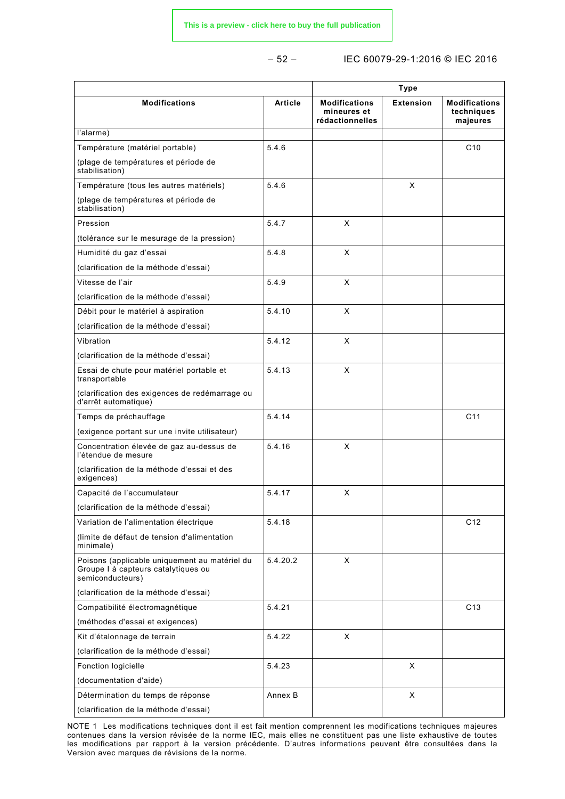### – 52 – IEC 60079-29-1:2016 © IEC 2016

|                                                                                                          |                | <b>Type</b>                                            |                  |                                                |
|----------------------------------------------------------------------------------------------------------|----------------|--------------------------------------------------------|------------------|------------------------------------------------|
| <b>Modifications</b>                                                                                     | <b>Article</b> | <b>Modifications</b><br>mineures et<br>rédactionnelles | <b>Extension</b> | <b>Modifications</b><br>techniques<br>majeures |
| l'alarme)                                                                                                |                |                                                        |                  |                                                |
| Température (matériel portable)                                                                          | 5.4.6          |                                                        |                  | C10                                            |
| (plage de températures et période de<br>stabilisation)                                                   |                |                                                        |                  |                                                |
| Température (tous les autres matériels)                                                                  | 5.4.6          |                                                        | X                |                                                |
| (plage de températures et période de<br>stabilisation)                                                   |                |                                                        |                  |                                                |
| Pression                                                                                                 | 5.4.7          | X                                                      |                  |                                                |
| (tolérance sur le mesurage de la pression)                                                               |                |                                                        |                  |                                                |
| Humidité du gaz d'essai                                                                                  | 5.4.8          | X                                                      |                  |                                                |
| (clarification de la méthode d'essai)                                                                    |                |                                                        |                  |                                                |
| Vitesse de l'air                                                                                         | 5.4.9          | X                                                      |                  |                                                |
| (clarification de la méthode d'essai)                                                                    |                |                                                        |                  |                                                |
| Débit pour le matériel à aspiration                                                                      | 5.4.10         | X                                                      |                  |                                                |
| (clarification de la méthode d'essai)                                                                    |                |                                                        |                  |                                                |
| Vibration                                                                                                | 5.4.12         | X                                                      |                  |                                                |
| (clarification de la méthode d'essai)                                                                    |                |                                                        |                  |                                                |
| Essai de chute pour matériel portable et<br>transportable                                                | 5.4.13         | X                                                      |                  |                                                |
| (clarification des exigences de redémarrage ou<br>d'arrêt automatique)                                   |                |                                                        |                  |                                                |
| Temps de préchauffage                                                                                    | 5.4.14         |                                                        |                  | C <sub>11</sub>                                |
| (exigence portant sur une invite utilisateur)                                                            |                |                                                        |                  |                                                |
| Concentration élevée de gaz au-dessus de<br>l'étendue de mesure                                          | 5.4.16         | X                                                      |                  |                                                |
| (clarification de la méthode d'essai et des<br>exigences)                                                |                |                                                        |                  |                                                |
| Capacité de l'accumulateur                                                                               | 5.4.17         | X                                                      |                  |                                                |
| (clarification de la méthode d'essai)                                                                    |                |                                                        |                  |                                                |
| Variation de l'alimentation électrique                                                                   | 5.4.18         |                                                        |                  | C12                                            |
| (limite de défaut de tension d'alimentation<br>minimale)                                                 |                |                                                        |                  |                                                |
| Poisons (applicable uniquement au matériel du<br>Groupe I à capteurs catalytiques ou<br>semiconducteurs) | 5.4.20.2       | X                                                      |                  |                                                |
| (clarification de la méthode d'essai)                                                                    |                |                                                        |                  |                                                |
| Compatibilité électromagnétique                                                                          | 5.4.21         |                                                        |                  | C <sub>13</sub>                                |
| (méthodes d'essai et exigences)                                                                          |                |                                                        |                  |                                                |
| Kit d'étalonnage de terrain                                                                              | 5.4.22         | X                                                      |                  |                                                |
| (clarification de la méthode d'essai)                                                                    |                |                                                        |                  |                                                |
| Fonction logicielle                                                                                      | 5.4.23         |                                                        | X                |                                                |
| (documentation d'aide)                                                                                   |                |                                                        |                  |                                                |
| Détermination du temps de réponse                                                                        | Annex B        |                                                        | X                |                                                |
| (clarification de la méthode d'essai)                                                                    |                |                                                        |                  |                                                |

NOTE 1 Les modifications techniques dont il est fait mention comprennent les modifications techniques majeures contenues dans la version révisée de la norme IEC, mais elles ne constituent pas une liste exhaustive de toutes les modifications par rapport à la version précédente. D'autres informations peuvent être consultées dans la Version avec marques de révisions de la norme.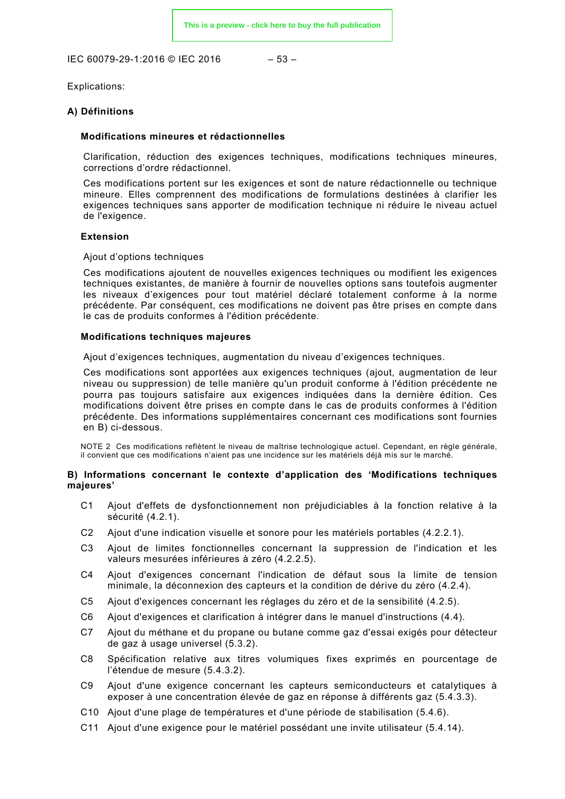IEC 60079-29-1:2016 © IEC 2016  $-53 -$ 

Explications:

#### **A) Définitions**

#### **Modifications mineures et rédactionnelles**

Clarification, réduction des exigences techniques, modifications techniques mineures, corrections d'ordre rédactionnel.

Ces modifications portent sur les exigences et sont de nature rédactionnelle ou technique mineure. Elles comprennent des modifications de formulations destinées à clarifier les exigences techniques sans apporter de modification technique ni réduire le niveau actuel de l'exigence.

#### **Extension**

Ajout d'options techniques

Ces modifications ajoutent de nouvelles exigences techniques ou modifient les exigences techniques existantes, de manière à fournir de nouvelles options sans toutefois augmenter les niveaux d'exigences pour tout matériel déclaré totalement conforme à la norme précédente. Par conséquent, ces modifications ne doivent pas être prises en compte dans le cas de produits conformes à l'édition précédente.

#### **Modifications techniques majeures**

Ajout d'exigences techniques, augmentation du niveau d'exigences techniques.

Ces modifications sont apportées aux exigences techniques (ajout, augmentation de leur niveau ou suppression) de telle manière qu'un produit conforme à l'édition précédente ne pourra pas toujours satisfaire aux exigences indiquées dans la dernière édition. Ces modifications doivent être prises en compte dans le cas de produits conformes à l'édition précédente. Des informations supplémentaires concernant ces modifications sont fournies en B) ci-dessous.

NOTE 2 Ces modifications reflètent le niveau de maîtrise technologique actuel. Cependant, en règle générale, il convient que ces modifications n'aient pas une incidence sur les matériels déjà mis sur le marché.

#### **B) Informations concernant le contexte d'application des 'Modifications techniques majeures'**

- C1 Ajout d'effets de dysfonctionnement non préjudiciables à la fonction relative à la sécurité (4.2.1).
- C2 Ajout d'une indication visuelle et sonore pour les matériels portables (4.2.2.1).
- C3 Ajout de limites fonctionnelles concernant la suppression de l'indication et les valeurs mesurées inférieures à zéro (4.2.2.5).
- C4 Ajout d'exigences concernant l'indication de défaut sous la limite de tension minimale, la déconnexion des capteurs et la condition de dérive du zéro (4.2.4).
- C5 Ajout d'exigences concernant les réglages du zéro et de la sensibilité (4.2.5).
- C6 Ajout d'exigences et clarification à intégrer dans le manuel d'instructions (4.4).
- C7 Ajout du méthane et du propane ou butane comme gaz d'essai exigés pour détecteur de gaz à usage universel (5.3.2).
- C8 Spécification relative aux titres volumiques fixes exprimés en pourcentage de l'étendue de mesure (5.4.3.2).
- C9 Ajout d'une exigence concernant les capteurs semiconducteurs et catalytiques à exposer à une concentration élevée de gaz en réponse à différents gaz (5.4.3.3).
- C10 Ajout d'une plage de températures et d'une période de stabilisation (5.4.6).
- C11 Ajout d'une exigence pour le matériel possédant une invite utilisateur (5.4.14).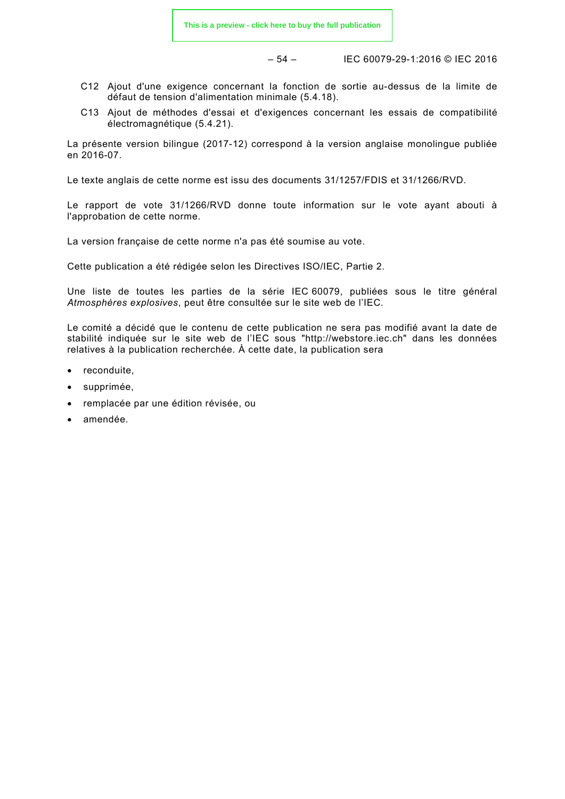– 54 – IEC 60079-29-1:2016 © IEC 2016

- C12 Ajout d'une exigence concernant la fonction de sortie au-dessus de la limite de défaut de tension d'alimentation minimale (5.4.18).
- C13 Ajout de méthodes d'essai et d'exigences concernant les essais de compatibilité électromagnétique (5.4.21).

La présente version bilingue (2017-12) correspond à la version anglaise monolingue publiée en 2016-07.

Le texte anglais de cette norme est issu des documents 31/1257/FDIS et 31/1266/RVD.

Le rapport de vote 31/1266/RVD donne toute information sur le vote ayant abouti à l'approbation de cette norme.

La version française de cette norme n'a pas été soumise au vote.

Cette publication a été rédigée selon les Directives ISO/IEC, Partie 2.

Une liste de toutes les parties de la série IEC 60079, publiées sous le titre général *Atmosphères explosives*, peut être consultée sur le site web de l'IEC.

Le comité a décidé que le contenu de cette publication ne sera pas modifié avant la date de stabilité indiquée sur le site web de l'IEC sous "http://webstore.iec.ch" dans les données relatives à la publication recherchée. À cette date, la publication sera

- reconduite,
- supprimée,
- remplacée par une édition révisée, ou
- amendée.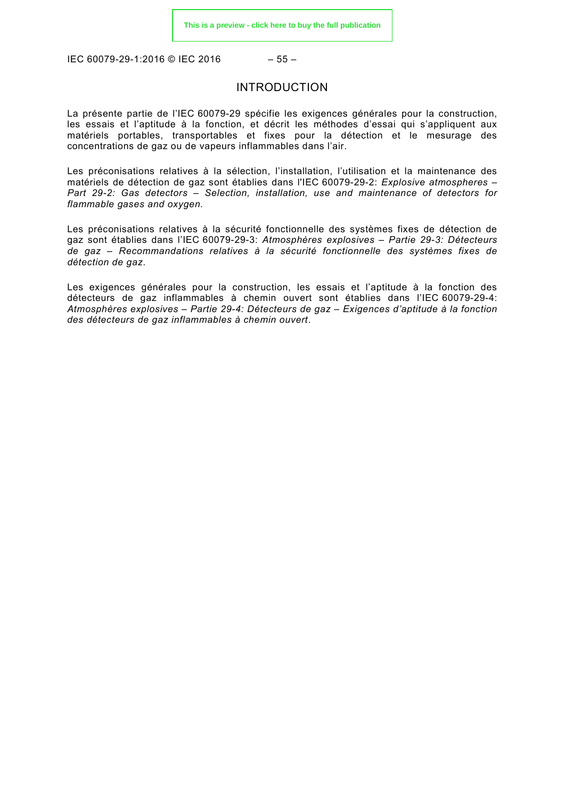<span id="page-21-0"></span>IEC 60079-29-1:2016 © IEC 2016  $-55-$ 

### INTRODUCTION

La présente partie de l'IEC 60079-29 spécifie les exigences générales pour la construction, les essais et l'aptitude à la fonction, et décrit les méthodes d'essai qui s'appliquent aux matériels portables, transportables et fixes pour la détection et le mesurage des concentrations de gaz ou de vapeurs inflammables dans l'air.

Les préconisations relatives à la sélection, l'installation, l'utilisation et la maintenance des matériels de détection de gaz sont établies dans l'IEC 60079-29-2: *Explosive atmospheres – Part 29-2: Gas detectors – Selection, installation, use and maintenance of detectors for flammable gases and oxygen.*

Les préconisations relatives à la sécurité fonctionnelle des systèmes fixes de détection de gaz sont établies dans l'IEC 60079-29-3: *Atmosphères explosives – Partie 29-3: Détecteurs de gaz – Recommandations relatives à la sécurité fonctionnelle des systèmes fixes de détection de gaz*.

Les exigences générales pour la construction, les essais et l'aptitude à la fonction des détecteurs de gaz inflammables à chemin ouvert sont établies dans l'IEC 60079-29-4: *Atmosphères explosives – Partie 29-4: Détecteurs de gaz – Exigences d'aptitude à la fonction des détecteurs de gaz inflammables à chemin ouvert*.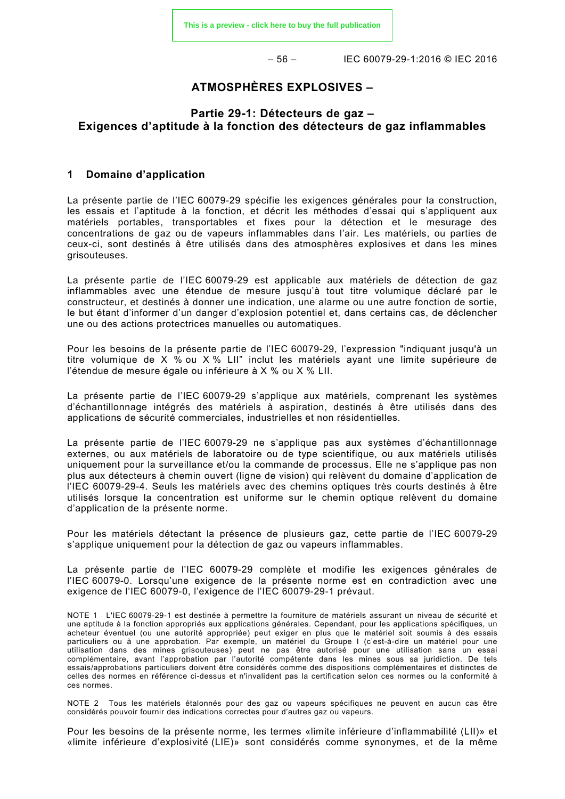– 56 – IEC 60079-29-1:2016 © IEC 2016

# **ATMOSPHÈRES EXPLOSIVES –**

# **Partie 29-1: Détecteurs de gaz – Exigences d'aptitude à la fonction des détecteurs de gaz inflammables**

#### <span id="page-22-0"></span>**1 Domaine d'application**

La présente partie de l'IEC 60079-29 spécifie les exigences générales pour la construction, les essais et l'aptitude à la fonction, et décrit les méthodes d'essai qui s'appliquent aux matériels portables, transportables et fixes pour la détection et le mesurage des concentrations de gaz ou de vapeurs inflammables dans l'air. Les matériels, ou parties de ceux-ci, sont destinés à être utilisés dans des atmosphères explosives et dans les mines grisouteuses.

La présente partie de l'IEC 60079-29 est applicable aux matériels de détection de gaz inflammables avec une étendue de mesure jusqu'à tout titre volumique déclaré par le constructeur, et destinés à donner une indication, une alarme ou une autre fonction de sortie, le but étant d'informer d'un danger d'explosion potentiel et, dans certains cas, de déclencher une ou des actions protectrices manuelles ou automatiques.

Pour les besoins de la présente partie de l'IEC 60079-29, l'expression "indiquant jusqu'à un titre volumique de X % ou X % LII" inclut les matériels ayant une limite supérieure de l'étendue de mesure égale ou inférieure à X % ou X % LII.

La présente partie de l'IEC 60079-29 s'applique aux matériels, comprenant les systèmes d'échantillonnage intégrés des matériels à aspiration, destinés à être utilisés dans des applications de sécurité commerciales, industrielles et non résidentielles.

La présente partie de l'IEC 60079-29 ne s'applique pas aux systèmes d'échantillonnage externes, ou aux matériels de laboratoire ou de type scientifique, ou aux matériels utilisés uniquement pour la surveillance et/ou la commande de processus. Elle ne s'applique pas non plus aux détecteurs à chemin ouvert (ligne de vision) qui relèvent du domaine d'application de l'IEC 60079-29-4. Seuls les matériels avec des chemins optiques très courts destinés à être utilisés lorsque la concentration est uniforme sur le chemin optique relèvent du domaine d'application de la présente norme.

Pour les matériels détectant la présence de plusieurs gaz, cette partie de l'IEC 60079-29 s'applique uniquement pour la détection de gaz ou vapeurs inflammables.

La présente partie de l'IEC 60079-29 complète et modifie les exigences générales de l'IEC 60079-0. Lorsqu'une exigence de la présente norme est en contradiction avec une exigence de l'IEC 60079-0, l'exigence de l'IEC 60079-29-1 prévaut.

NOTE 1 L'IEC 60079-29-1 est destinée à permettre la fourniture de matériels assurant un niveau de sécurité et une aptitude à la fonction appropriés aux applications générales. Cependant, pour les applications spécifiques, un acheteur éventuel (ou une autorité appropriée) peut exiger en plus que le matériel soit soumis à des essais particuliers ou à une approbation. Par exemple, un matériel du Groupe I (c'est-à-dire un matériel pour une utilisation dans des mines grisouteuses) peut ne pas être autorisé pour une utilisation sans un essai complémentaire, avant l'approbation par l'autorité compétente dans les mines sous sa juridiction. De tels essais/approbations particuliers doivent être considérés comme des dispositions complémentaires et distinctes de celles des normes en référence ci-dessus et n'invalident pas la certification selon ces normes ou la conformité à ces normes.

NOTE 2 Tous les matériels étalonnés pour des gaz ou vapeurs spécifiques ne peuvent en aucun cas être considérés pouvoir fournir des indications correctes pour d'autres gaz ou vapeurs.

Pour les besoins de la présente norme, les termes «limite inférieure d'inflammabilité (LII)» et «limite inférieure d'explosivité (LIE)» sont considérés comme synonymes, et de la même